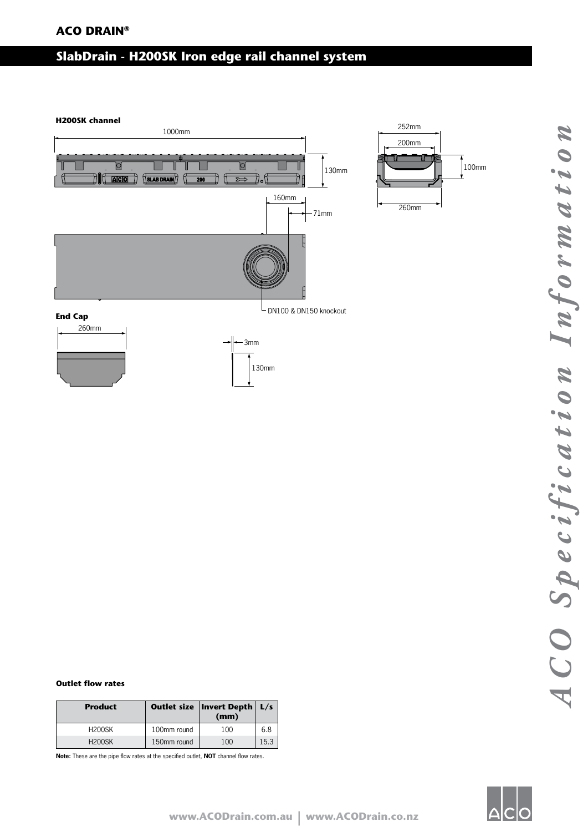# **ACO DRAIN®**

### **SlabDrain - H200SK Iron edge rail channel system** 10.24" (260mm)  $\overline{\phantom{a}}$



| <b>Product</b> |             | Outlet size   Invert Depth   L/s<br>(mm) |      |
|----------------|-------------|------------------------------------------|------|
| <b>H200SK</b>  | 100mm round | 100                                      | 6.8  |
| <b>H200SK</b>  | 150mm round | 100                                      | 15.3 |

**Note:** These are the pipe flow rates at the specified outlet, **NOT** channel flow rates.